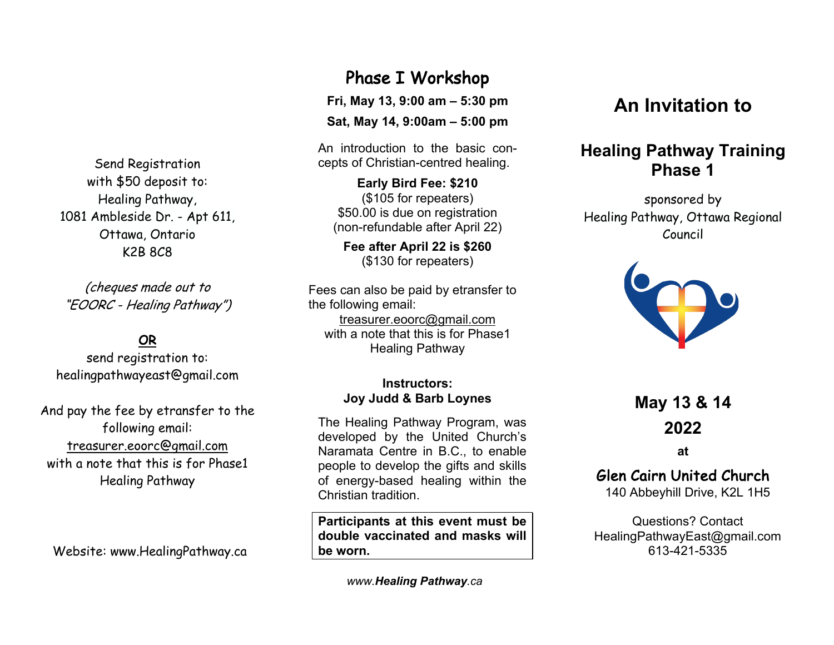Send Registration with \$50 deposit to: Healing Pathway, 1081 Ambleside Dr. - Apt 611, Ottawa, Ontario K2B 8C8

(cheques made out to "EOORC - Healing Pathway")

## OR

send registration to: healingpathwayeast@gmail.com

And pay the fee by etransfer to the following email: treasurer.eoorc@gmail.com with a note that this is for Phase1 Healing Pathway

Website: www.HealingPathway.ca

Phase I Workshop

**Fri, May 13, 9:00 am – 5:30 pm**

**Sat, May 14, 9:00am – 5:00 pm**

An introduction to the basic concepts of Christian-centred healing.

**Early Bird Fee: \$210** (\$105 for repeaters) \$50.00 is due on registration (non-refundable after April 22)

**Fee after April 22 is \$260** (\$130 for repeaters)

Fees can also be paid by etransfer to the following email: treasurer.eoorc@gmail.com with a note that this is for Phase1 Healing Pathway

#### **Instructors: Joy Judd & Barb Loynes**

The Healing Pathway Program, was developed by the United Church's Naramata Centre in B.C., to enable people to develop the gifts and skills of energy-based healing within the Christian tradition.

**Participants at this event must be double vaccinated and masks will be worn.**

*www.Healing Pathway.ca*

# **An Invitation to**

## **Healing Pathway Training Phase 1**

sponsored by Healing Pathway, Ottawa Regional Council



**May 13 & 14 2022**

**at**

### Glen Cairn United Church

140 Abbeyhill Drive, K2L 1H5

Questions? Contact HealingPathwayEast@gmail.com 613-421-5335